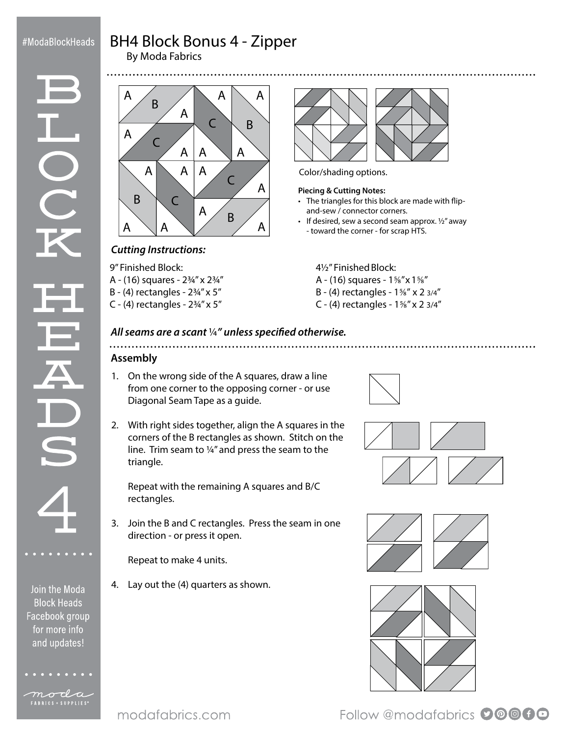## #ModaBlockHeads

# BH4 Block Bonus 4 - Zipper

By Moda Fabrics



## *Cutting Instructions:*

9" Finished Block: A - (16) squares - 2¾" x 2¾"

B - (4) rectangles - 2¾" x 5"

C - (4) rectangles -  $2\frac{3}{4}$ " x 5"



Color/shading options.

#### **Piecing & Cutting Notes:**

- The triangles for this block are made with flipand-sew / connector corners.
- $\cdot$  If desired, sew a second seam approx.  $\frac{1}{2}$  away - toward the corner - for scrap HTS.

### 4½" Finished Block:

- A (16) squares 1⅝" x 1⅝"
- B (4) rectangles 1⅝" x 2 3/4"
- C (4) rectangles 1⅝" x 2 3/4"

#### *All seams are a scant* ¼*" unless specified otherwise.*

## **Assembly**

- 1. On the wrong side of the A squares, draw a line from one corner to the opposing corner - or use Diagonal Seam Tape as a guide.
- 2. With right sides together, align the A squares in the corners of the B rectangles as shown. Stitch on the line. Trim seam to ¼" and press the seam to the triangle.

Repeat with the remaining A squares and B/C rectangles.

3. Join the B and C rectangles. Press the seam in one direction - or press it open.

Repeat to make 4 units.

4. Lay out the (4) quarters as shown.









Follow @modafabrics 00000

Join the Moda **Block Heads** Facebook group for more info and updates!



```
moda
FABRICS + SUPPLIES<sup>®</sup>
```